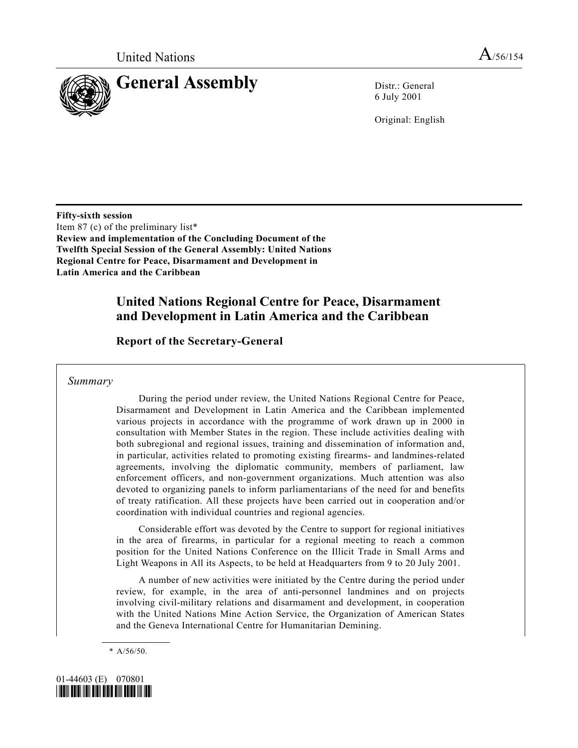

6 July 2001

Original: English

**Fifty-sixth session** Item 87 (c) of the preliminary list\* **Review and implementation of the Concluding Document of the Twelfth Special Session of the General Assembly: United Nations Regional Centre for Peace, Disarmament and Development in Latin America and the Caribbean**

### **United Nations Regional Centre for Peace, Disarmament and Development in Latin America and the Caribbean**

**Report of the Secretary-General**

*Summary*

During the period under review, the United Nations Regional Centre for Peace, Disarmament and Development in Latin America and the Caribbean implemented various projects in accordance with the programme of work drawn up in 2000 in consultation with Member States in the region. These include activities dealing with both subregional and regional issues, training and dissemination of information and, in particular, activities related to promoting existing firearms- and landmines-related agreements, involving the diplomatic community, members of parliament, law enforcement officers, and non-government organizations. Much attention was also devoted to organizing panels to inform parliamentarians of the need for and benefits of treaty ratification. All these projects have been carried out in cooperation and/or coordination with individual countries and regional agencies.

Considerable effort was devoted by the Centre to support for regional initiatives in the area of firearms, in particular for a regional meeting to reach a common position for the United Nations Conference on the Illicit Trade in Small Arms and Light Weapons in All its Aspects, to be held at Headquarters from 9 to 20 July 2001.

A number of new activities were initiated by the Centre during the period under review, for example, in the area of anti-personnel landmines and on projects involving civil-military relations and disarmament and development, in cooperation with the United Nations Mine Action Service, the Organization of American States and the Geneva International Centre for Humanitarian Demining.

\* A/56/50.

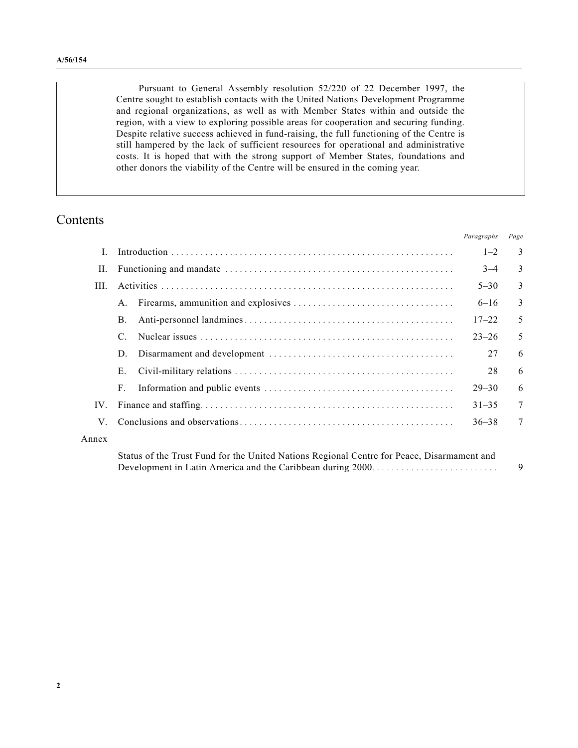Pursuant to General Assembly resolution 52/220 of 22 December 1997, the Centre sought to establish contacts with the United Nations Development Programme and regional organizations, as well as with Member States within and outside the region, with a view to exploring possible areas for cooperation and securing funding. Despite relative success achieved in fund-raising, the full functioning of the Centre is still hampered by the lack of sufficient resources for operational and administrative costs. It is hoped that with the strong support of Member States, foundations and other donors the viability of the Centre will be ensured in the coming year.

### Contents

|          |              | Paragraphs | Page |
|----------|--------------|------------|------|
| L        |              | $1 - 2$    | 3    |
| Н.       |              | $3 - 4$    | 3    |
| HL.      |              | $5 - 30$   | 3    |
|          | $\mathsf{A}$ | $6 - 16$   | 3    |
|          | Β.           | $17 - 22$  | 5    |
|          |              | $23 - 26$  | 5    |
|          | D.           | 27         | 6    |
|          | Е.           | 28         | 6    |
|          | $F_{\odot}$  | $29 - 30$  | 6    |
| $IV_{-}$ |              | $31 - 35$  | 7    |
| V        |              | $36 - 38$  | 7    |
| Annex    |              |            |      |
|          |              |            |      |

Status of the Trust Fund for the United Nations Regional Centre for Peace, Disarmament and Development in Latin America and the Caribbean during 2000.......................... 9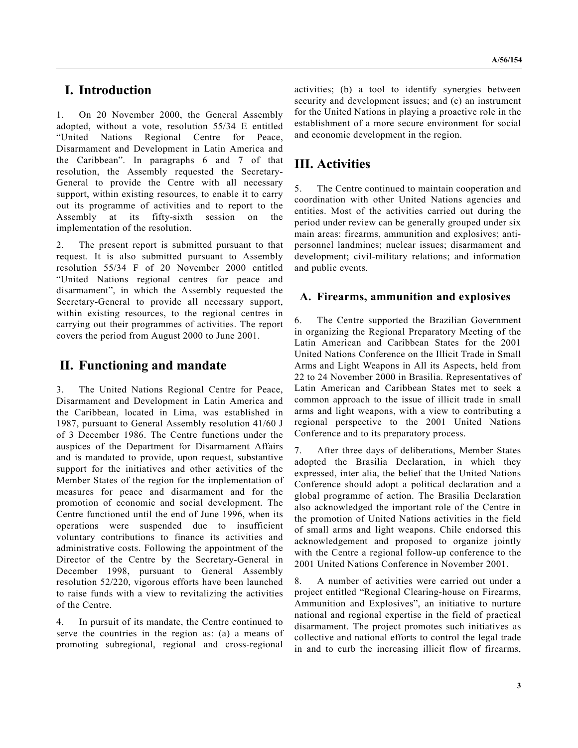### **I. Introduction**

1. On 20 November 2000, the General Assembly adopted, without a vote, resolution 55/34 E entitled "United Nations Regional Centre for Peace, Disarmament and Development in Latin America and the Caribbean". In paragraphs 6 and 7 of that resolution, the Assembly requested the Secretary-General to provide the Centre with all necessary support, within existing resources, to enable it to carry out its programme of activities and to report to the Assembly at its fifty-sixth session on the implementation of the resolution.

2. The present report is submitted pursuant to that request. It is also submitted pursuant to Assembly resolution 55/34 F of 20 November 2000 entitled "United Nations regional centres for peace and disarmament", in which the Assembly requested the Secretary-General to provide all necessary support, within existing resources, to the regional centres in carrying out their programmes of activities. The report covers the period from August 2000 to June 2001.

#### **II. Functioning and mandate**

3. The United Nations Regional Centre for Peace, Disarmament and Development in Latin America and the Caribbean, located in Lima, was established in 1987, pursuant to General Assembly resolution 41/60 J of 3 December 1986. The Centre functions under the auspices of the Department for Disarmament Affairs and is mandated to provide, upon request, substantive support for the initiatives and other activities of the Member States of the region for the implementation of measures for peace and disarmament and for the promotion of economic and social development. The Centre functioned until the end of June 1996, when its operations were suspended due to insufficient voluntary contributions to finance its activities and administrative costs. Following the appointment of the Director of the Centre by the Secretary-General in December 1998, pursuant to General Assembly resolution 52/220, vigorous efforts have been launched to raise funds with a view to revitalizing the activities of the Centre.

4. In pursuit of its mandate, the Centre continued to serve the countries in the region as: (a) a means of promoting subregional, regional and cross-regional

activities; (b) a tool to identify synergies between security and development issues; and (c) an instrument for the United Nations in playing a proactive role in the establishment of a more secure environment for social and economic development in the region.

## **III. Activities**

5. The Centre continued to maintain cooperation and coordination with other United Nations agencies and entities. Most of the activities carried out during the period under review can be generally grouped under six main areas: firearms, ammunition and explosives; antipersonnel landmines; nuclear issues; disarmament and development; civil-military relations; and information and public events.

#### **A. Firearms, ammunition and explosives**

6. The Centre supported the Brazilian Government in organizing the Regional Preparatory Meeting of the Latin American and Caribbean States for the 2001 United Nations Conference on the Illicit Trade in Small Arms and Light Weapons in All its Aspects, held from 22 to 24 November 2000 in Brasilia. Representatives of Latin American and Caribbean States met to seek a common approach to the issue of illicit trade in small arms and light weapons, with a view to contributing a regional perspective to the 2001 United Nations Conference and to its preparatory process.

7. After three days of deliberations, Member States adopted the Brasilia Declaration, in which they expressed, inter alia, the belief that the United Nations Conference should adopt a political declaration and a global programme of action. The Brasilia Declaration also acknowledged the important role of the Centre in the promotion of United Nations activities in the field of small arms and light weapons. Chile endorsed this acknowledgement and proposed to organize jointly with the Centre a regional follow-up conference to the 2001 United Nations Conference in November 2001.

8. A number of activities were carried out under a project entitled "Regional Clearing-house on Firearms, Ammunition and Explosives", an initiative to nurture national and regional expertise in the field of practical disarmament. The project promotes such initiatives as collective and national efforts to control the legal trade in and to curb the increasing illicit flow of firearms,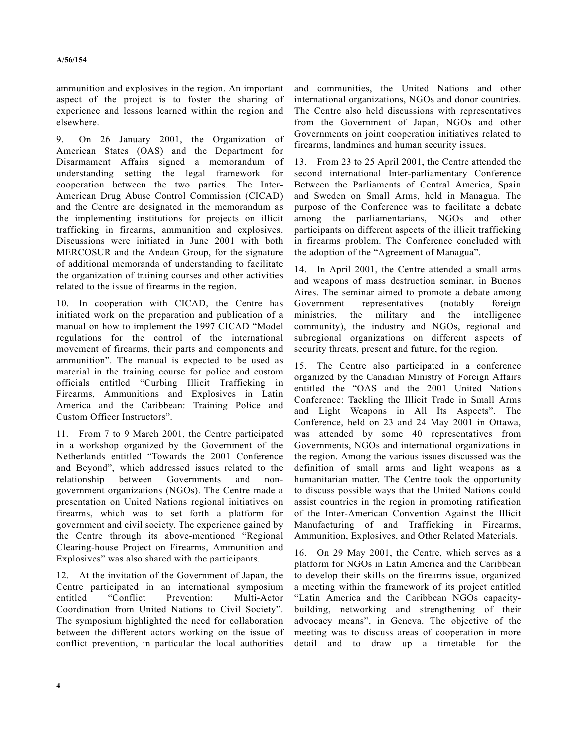ammunition and explosives in the region. An important aspect of the project is to foster the sharing of experience and lessons learned within the region and elsewhere.

9. On 26 January 2001, the Organization of American States (OAS) and the Department for Disarmament Affairs signed a memorandum of understanding setting the legal framework for cooperation between the two parties. The Inter-American Drug Abuse Control Commission (CICAD) and the Centre are designated in the memorandum as the implementing institutions for projects on illicit trafficking in firearms, ammunition and explosives. Discussions were initiated in June 2001 with both MERCOSUR and the Andean Group, for the signature of additional memoranda of understanding to facilitate the organization of training courses and other activities related to the issue of firearms in the region.

10. In cooperation with CICAD, the Centre has initiated work on the preparation and publication of a manual on how to implement the 1997 CICAD "Model regulations for the control of the international movement of firearms, their parts and components and ammunition". The manual is expected to be used as material in the training course for police and custom officials entitled "Curbing Illicit Trafficking in Firearms, Ammunitions and Explosives in Latin America and the Caribbean: Training Police and Custom Officer Instructors".

11. From 7 to 9 March 2001, the Centre participated in a workshop organized by the Government of the Netherlands entitled "Towards the 2001 Conference and Beyond", which addressed issues related to the relationship between Governments and nongovernment organizations (NGOs). The Centre made a presentation on United Nations regional initiatives on firearms, which was to set forth a platform for government and civil society. The experience gained by the Centre through its above-mentioned "Regional Clearing-house Project on Firearms, Ammunition and Explosives" was also shared with the participants.

12. At the invitation of the Government of Japan, the Centre participated in an international symposium entitled "Conflict Prevention: Multi-Actor Coordination from United Nations to Civil Society". The symposium highlighted the need for collaboration between the different actors working on the issue of conflict prevention, in particular the local authorities

and communities, the United Nations and other international organizations, NGOs and donor countries. The Centre also held discussions with representatives from the Government of Japan, NGOs and other Governments on joint cooperation initiatives related to firearms, landmines and human security issues.

13. From 23 to 25 April 2001, the Centre attended the second international Inter-parliamentary Conference Between the Parliaments of Central America, Spain and Sweden on Small Arms, held in Managua. The purpose of the Conference was to facilitate a debate among the parliamentarians, NGOs and other participants on different aspects of the illicit trafficking in firearms problem. The Conference concluded with the adoption of the "Agreement of Managua".

14. In April 2001, the Centre attended a small arms and weapons of mass destruction seminar, in Buenos Aires. The seminar aimed to promote a debate among Government representatives (notably foreign ministries, the military and the intelligence community), the industry and NGOs, regional and subregional organizations on different aspects of security threats, present and future, for the region.

15. The Centre also participated in a conference organized by the Canadian Ministry of Foreign Affairs entitled the "OAS and the 2001 United Nations Conference: Tackling the Illicit Trade in Small Arms and Light Weapons in All Its Aspects". The Conference, held on 23 and 24 May 2001 in Ottawa, was attended by some 40 representatives from Governments, NGOs and international organizations in the region. Among the various issues discussed was the definition of small arms and light weapons as a humanitarian matter. The Centre took the opportunity to discuss possible ways that the United Nations could assist countries in the region in promoting ratification of the Inter-American Convention Against the Illicit Manufacturing of and Trafficking in Firearms, Ammunition, Explosives, and Other Related Materials.

16. On 29 May 2001, the Centre, which serves as a platform for NGOs in Latin America and the Caribbean to develop their skills on the firearms issue, organized a meeting within the framework of its project entitled "Latin America and the Caribbean NGOs capacitybuilding, networking and strengthening of their advocacy means", in Geneva. The objective of the meeting was to discuss areas of cooperation in more detail and to draw up a timetable for the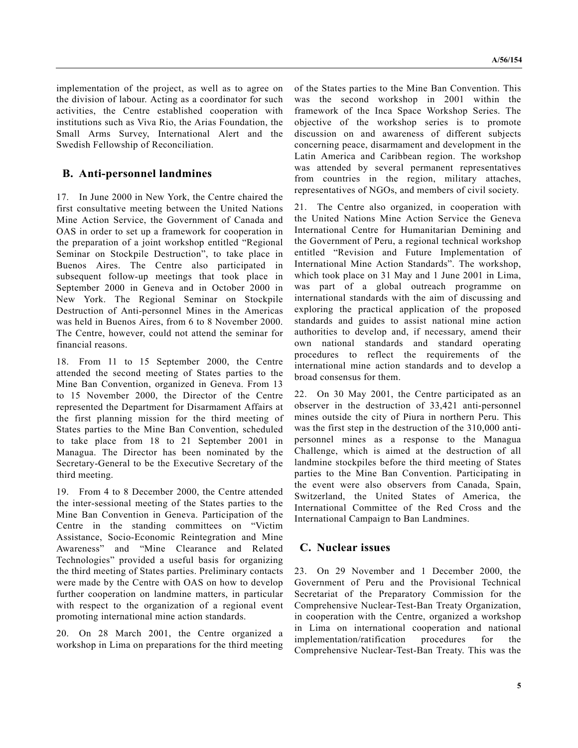implementation of the project, as well as to agree on the division of labour. Acting as a coordinator for such activities, the Centre established cooperation with institutions such as Viva Rio, the Arias Foundation, the Small Arms Survey, International Alert and the Swedish Fellowship of Reconciliation.

#### **B. Anti-personnel landmines**

17. In June 2000 in New York, the Centre chaired the first consultative meeting between the United Nations Mine Action Service, the Government of Canada and OAS in order to set up a framework for cooperation in the preparation of a joint workshop entitled "Regional Seminar on Stockpile Destruction", to take place in Buenos Aires. The Centre also participated in subsequent follow-up meetings that took place in September 2000 in Geneva and in October 2000 in New York. The Regional Seminar on Stockpile Destruction of Anti-personnel Mines in the Americas was held in Buenos Aires, from 6 to 8 November 2000. The Centre, however, could not attend the seminar for financial reasons.

18. From 11 to 15 September 2000, the Centre attended the second meeting of States parties to the Mine Ban Convention, organized in Geneva. From 13 to 15 November 2000, the Director of the Centre represented the Department for Disarmament Affairs at the first planning mission for the third meeting of States parties to the Mine Ban Convention, scheduled to take place from 18 to 21 September 2001 in Managua. The Director has been nominated by the Secretary-General to be the Executive Secretary of the third meeting.

19. From 4 to 8 December 2000, the Centre attended the inter-sessional meeting of the States parties to the Mine Ban Convention in Geneva. Participation of the Centre in the standing committees on "Victim Assistance, Socio-Economic Reintegration and Mine Awareness" and "Mine Clearance and Related Technologies" provided a useful basis for organizing the third meeting of States parties. Preliminary contacts were made by the Centre with OAS on how to develop further cooperation on landmine matters, in particular with respect to the organization of a regional event promoting international mine action standards.

20. On 28 March 2001, the Centre organized a workshop in Lima on preparations for the third meeting of the States parties to the Mine Ban Convention. This was the second workshop in 2001 within the framework of the Inca Space Workshop Series. The objective of the workshop series is to promote discussion on and awareness of different subjects concerning peace, disarmament and development in the Latin America and Caribbean region. The workshop was attended by several permanent representatives from countries in the region, military attaches, representatives of NGOs, and members of civil society.

21. The Centre also organized, in cooperation with the United Nations Mine Action Service the Geneva International Centre for Humanitarian Demining and the Government of Peru, a regional technical workshop entitled "Revision and Future Implementation of International Mine Action Standards". The workshop, which took place on 31 May and 1 June 2001 in Lima, was part of a global outreach programme on international standards with the aim of discussing and exploring the practical application of the proposed standards and guides to assist national mine action authorities to develop and, if necessary, amend their own national standards and standard operating procedures to reflect the requirements of the international mine action standards and to develop a broad consensus for them.

22. On 30 May 2001, the Centre participated as an observer in the destruction of 33,421 anti-personnel mines outside the city of Piura in northern Peru. This was the first step in the destruction of the 310,000 antipersonnel mines as a response to the Managua Challenge, which is aimed at the destruction of all landmine stockpiles before the third meeting of States parties to the Mine Ban Convention. Participating in the event were also observers from Canada, Spain, Switzerland, the United States of America, the International Committee of the Red Cross and the International Campaign to Ban Landmines.

#### **C. Nuclear issues**

23. On 29 November and 1 December 2000, the Government of Peru and the Provisional Technical Secretariat of the Preparatory Commission for the Comprehensive Nuclear-Test-Ban Treaty Organization, in cooperation with the Centre, organized a workshop in Lima on international cooperation and national implementation/ratification procedures for the Comprehensive Nuclear-Test-Ban Treaty. This was the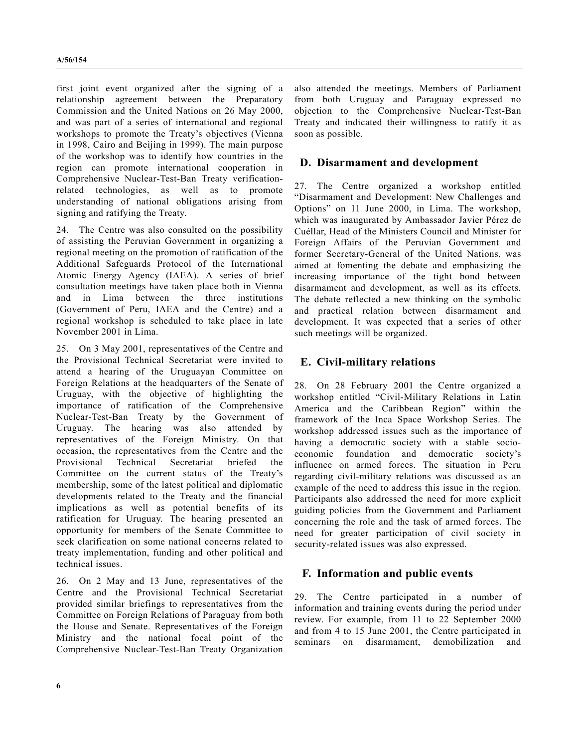first joint event organized after the signing of a relationship agreement between the Preparatory Commission and the United Nations on 26 May 2000, and was part of a series of international and regional workshops to promote the Treaty's objectives (Vienna in 1998, Cairo and Beijing in 1999). The main purpose of the workshop was to identify how countries in the region can promote international cooperation in Comprehensive Nuclear-Test-Ban Treaty verificationrelated technologies, as well as to promote understanding of national obligations arising from signing and ratifying the Treaty.

24. The Centre was also consulted on the possibility of assisting the Peruvian Government in organizing a regional meeting on the promotion of ratification of the Additional Safeguards Protocol of the International Atomic Energy Agency (IAEA). A series of brief consultation meetings have taken place both in Vienna and in Lima between the three institutions (Government of Peru, IAEA and the Centre) and a regional workshop is scheduled to take place in late November 2001 in Lima.

25. On 3 May 2001, representatives of the Centre and the Provisional Technical Secretariat were invited to attend a hearing of the Uruguayan Committee on Foreign Relations at the headquarters of the Senate of Uruguay, with the objective of highlighting the importance of ratification of the Comprehensive Nuclear-Test-Ban Treaty by the Government of Uruguay. The hearing was also attended by representatives of the Foreign Ministry. On that occasion, the representatives from the Centre and the Provisional Technical Secretariat briefed the Committee on the current status of the Treaty's membership, some of the latest political and diplomatic developments related to the Treaty and the financial implications as well as potential benefits of its ratification for Uruguay. The hearing presented an opportunity for members of the Senate Committee to seek clarification on some national concerns related to treaty implementation, funding and other political and technical issues.

26. On 2 May and 13 June, representatives of the Centre and the Provisional Technical Secretariat provided similar briefings to representatives from the Committee on Foreign Relations of Paraguay from both the House and Senate. Representatives of the Foreign Ministry and the national focal point of the Comprehensive Nuclear-Test-Ban Treaty Organization

also attended the meetings. Members of Parliament from both Uruguay and Paraguay expressed no objection to the Comprehensive Nuclear-Test-Ban Treaty and indicated their willingness to ratify it as soon as possible.

#### **D. Disarmament and development**

27. The Centre organized a workshop entitled "Disarmament and Development: New Challenges and Options" on 11 June 2000, in Lima. The workshop, which was inaugurated by Ambassador Javier Pérez de Cuéllar, Head of the Ministers Council and Minister for Foreign Affairs of the Peruvian Government and former Secretary-General of the United Nations, was aimed at fomenting the debate and emphasizing the increasing importance of the tight bond between disarmament and development, as well as its effects. The debate reflected a new thinking on the symbolic and practical relation between disarmament and development. It was expected that a series of other such meetings will be organized.

#### **E. Civil-military relations**

28. On 28 February 2001 the Centre organized a workshop entitled "Civil-Military Relations in Latin America and the Caribbean Region" within the framework of the Inca Space Workshop Series. The workshop addressed issues such as the importance of having a democratic society with a stable socioeconomic foundation and democratic society's influence on armed forces. The situation in Peru regarding civil-military relations was discussed as an example of the need to address this issue in the region. Participants also addressed the need for more explicit guiding policies from the Government and Parliament concerning the role and the task of armed forces. The need for greater participation of civil society in security-related issues was also expressed.

#### **F. Information and public events**

29. The Centre participated in a number of information and training events during the period under review. For example, from 11 to 22 September 2000 and from 4 to 15 June 2001, the Centre participated in seminars on disarmament, demobilization and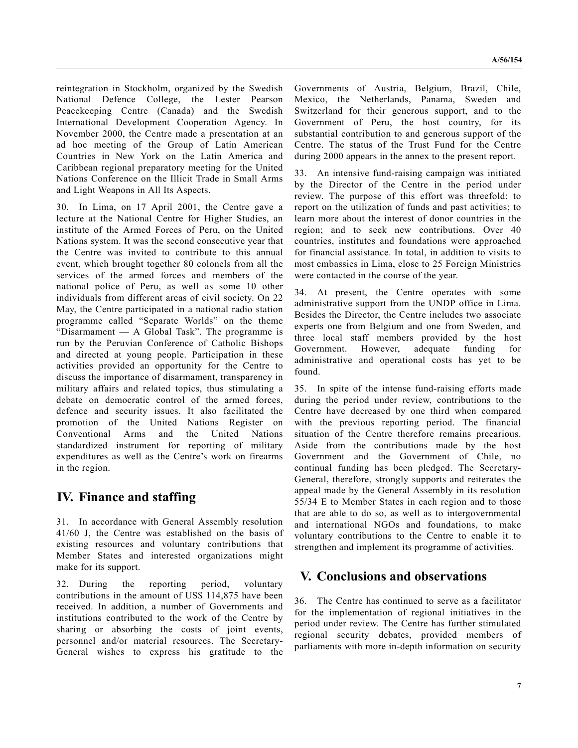reintegration in Stockholm, organized by the Swedish National Defence College, the Lester Pearson Peacekeeping Centre (Canada) and the Swedish International Development Cooperation Agency. In November 2000, the Centre made a presentation at an ad hoc meeting of the Group of Latin American Countries in New York on the Latin America and Caribbean regional preparatory meeting for the United Nations Conference on the Illicit Trade in Small Arms and Light Weapons in All Its Aspects.

30. In Lima, on 17 April 2001, the Centre gave a lecture at the National Centre for Higher Studies, an institute of the Armed Forces of Peru, on the United Nations system. It was the second consecutive year that the Centre was invited to contribute to this annual event, which brought together 80 colonels from all the services of the armed forces and members of the national police of Peru, as well as some 10 other individuals from different areas of civil society. On 22 May, the Centre participated in a national radio station programme called "Separate Worlds" on the theme "Disarmament — A Global Task". The programme is run by the Peruvian Conference of Catholic Bishops and directed at young people. Participation in these activities provided an opportunity for the Centre to discuss the importance of disarmament, transparency in military affairs and related topics, thus stimulating a debate on democratic control of the armed forces, defence and security issues. It also facilitated the promotion of the United Nations Register on Conventional Arms and the United Nations standardized instrument for reporting of military expenditures as well as the Centre's work on firearms in the region.

# **IV. Finance and staffing**

31. In accordance with General Assembly resolution 41/60 J, the Centre was established on the basis of existing resources and voluntary contributions that Member States and interested organizations might make for its support.

32. During the reporting period, voluntary contributions in the amount of US\$ 114,875 have been received. In addition, a number of Governments and institutions contributed to the work of the Centre by sharing or absorbing the costs of joint events, personnel and/or material resources. The Secretary-General wishes to express his gratitude to the Governments of Austria, Belgium, Brazil, Chile, Mexico, the Netherlands, Panama, Sweden and Switzerland for their generous support, and to the Government of Peru, the host country, for its substantial contribution to and generous support of the Centre. The status of the Trust Fund for the Centre during 2000 appears in the annex to the present report.

33. An intensive fund-raising campaign was initiated by the Director of the Centre in the period under review. The purpose of this effort was threefold: to report on the utilization of funds and past activities; to learn more about the interest of donor countries in the region; and to seek new contributions. Over 40 countries, institutes and foundations were approached for financial assistance. In total, in addition to visits to most embassies in Lima, close to 25 Foreign Ministries were contacted in the course of the year.

34. At present, the Centre operates with some administrative support from the UNDP office in Lima. Besides the Director, the Centre includes two associate experts one from Belgium and one from Sweden, and three local staff members provided by the host Government. However, adequate funding for administrative and operational costs has yet to be found.

35. In spite of the intense fund-raising efforts made during the period under review, contributions to the Centre have decreased by one third when compared with the previous reporting period. The financial situation of the Centre therefore remains precarious. Aside from the contributions made by the host Government and the Government of Chile, no continual funding has been pledged. The Secretary-General, therefore, strongly supports and reiterates the appeal made by the General Assembly in its resolution 55/34 E to Member States in each region and to those that are able to do so, as well as to intergovernmental and international NGOs and foundations, to make voluntary contributions to the Centre to enable it to strengthen and implement its programme of activities.

# **V. Conclusions and observations**

36. The Centre has continued to serve as a facilitator for the implementation of regional initiatives in the period under review. The Centre has further stimulated regional security debates, provided members of parliaments with more in-depth information on security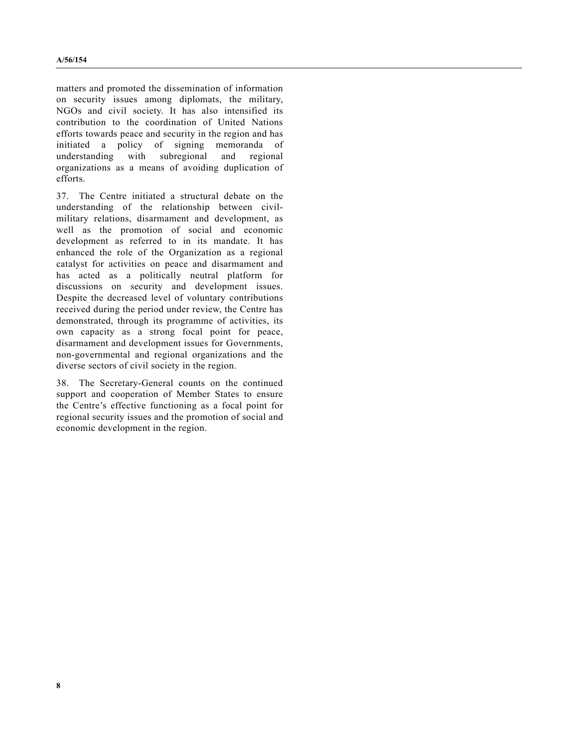matters and promoted the dissemination of information on security issues among diplomats, the military, NGOs and civil society. It has also intensified its contribution to the coordination of United Nations efforts towards peace and security in the region and has initiated a policy of signing memoranda of understanding with subregional and regional understanding with subregional and regional organizations as a means of avoiding duplication of efforts.

37. The Centre initiated a structural debate on the understanding of the relationship between civilmilitary relations, disarmament and development, as well as the promotion of social and economic development as referred to in its mandate. It has enhanced the role of the Organization as a regional catalyst for activities on peace and disarmament and has acted as a politically neutral platform for discussions on security and development issues. Despite the decreased level of voluntary contributions received during the period under review, the Centre has demonstrated, through its programme of activities, its own capacity as a strong focal point for peace, disarmament and development issues for Governments, non-governmental and regional organizations and the diverse sectors of civil society in the region.

38. The Secretary-General counts on the continued support and cooperation of Member States to ensure the Centre's effective functioning as a focal point for regional security issues and the promotion of social and economic development in the region.